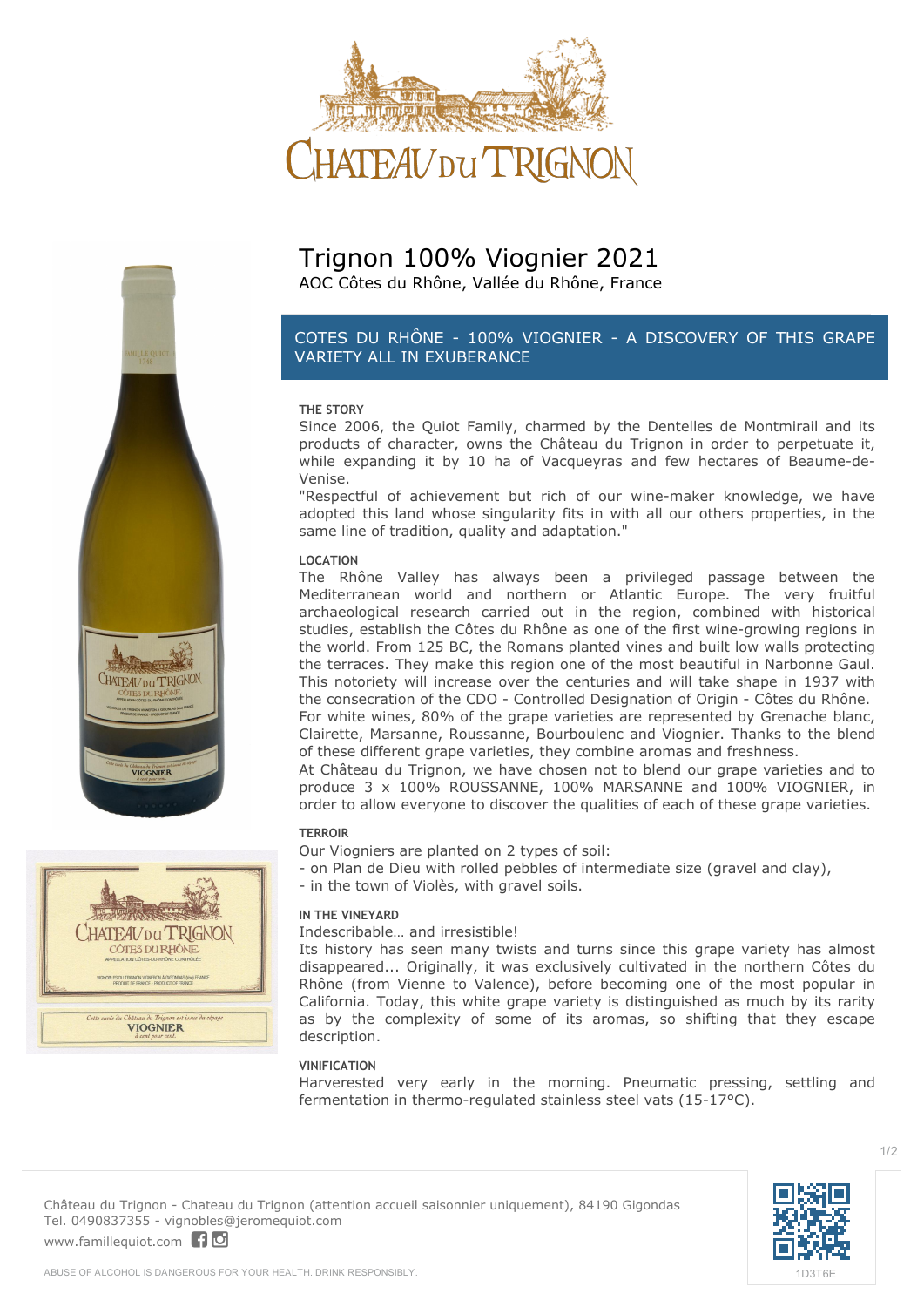



HATEAV DU TRIGNON CÔTES DU RHÔNE **VIOGNIER** 

# **Trignon 100% Viognier 2021** AOC Côtes du Rhône, Vallée du Rhône, France

# *COTES DU RHÔNE - 100% VIOGNIER - A DISCOVERY OF THIS GRAPE VARIETY ALL IN EXUBERANCE*

# **THE STORY**

Since 2006, the Quiot Family, charmed by the Dentelles de Montmirail and its products of character, owns the Château du Trignon in order to perpetuate it, while expanding it by 10 ha of Vacqueyras and few hectares of Beaume-de-Venise.

"Respectful of achievement but rich of our wine-maker knowledge, we have adopted this land whose singularity fits in with all our others properties, in the same line of tradition, quality and adaptation."

#### **LOCATION**

The Rhône Valley has always been a privileged passage between the Mediterranean world and northern or Atlantic Europe. The very fruitful archaeological research carried out in the region, combined with historical studies, establish the Côtes du Rhône as one of the first wine-growing regions in the world. From 125 BC, the Romans planted vines and built low walls protecting the terraces. They make this region one of the most beautiful in Narbonne Gaul. This notoriety will increase over the centuries and will take shape in 1937 with the consecration of the CDO - Controlled Designation of Origin - Côtes du Rhône. For white wines, 80% of the grape varieties are represented by Grenache blanc, Clairette, Marsanne, Roussanne, Bourboulenc and Viognier. Thanks to the blend of these different grape varieties, they combine aromas and freshness.

At Château du Trignon, we have chosen not to blend our grape varieties and to produce 3 x 100% ROUSSANNE, 100% MARSANNE and 100% VIOGNIER, in order to allow everyone to discover the qualities of each of these grape varieties.

#### **TERROIR**

Our Viogniers are planted on 2 types of soil:

- on Plan de Dieu with rolled pebbles of intermediate size (gravel and clay),
	- in the town of Violès, with gravel soils.

#### **IN THE VINEYARD**

Indescribable… and irresistible!

Its history has seen many twists and turns since this grape variety has almost disappeared... Originally, it was exclusively cultivated in the northern Côtes du Rhône (from Vienne to Valence), before becoming one of the most popular in California. Today, this white grape variety is distinguished as much by its rarity as by the complexity of some of its aromas, so shifting that they escape description.

#### **VINIFICATION**

Harverested very early in the morning. Pneumatic pressing, settling and fermentation in thermo-regulated stainless steel vats (15-17°C).





1/2